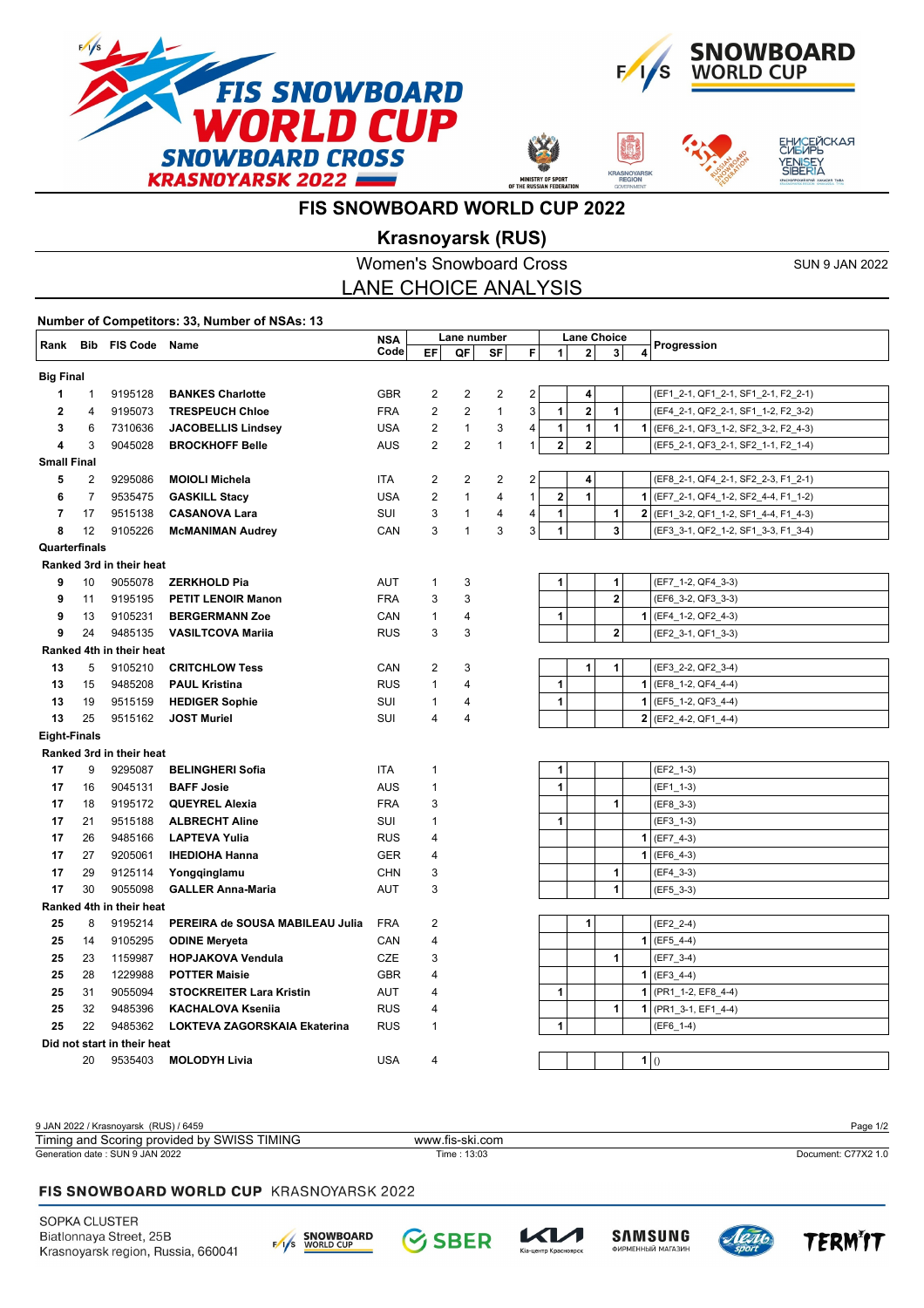



**ASNOYA** 



# **FIS SNOWBOARD WORLD CUP 2022**

## **Krasnoyarsk (RUS)**

|                                                                            |                             | <b>Women's Snowboard Cross</b><br><b>SUN 9 JAN 2022</b> |                                               |            |                         |                         |                         |                |              |                         |                |                |                                       |
|----------------------------------------------------------------------------|-----------------------------|---------------------------------------------------------|-----------------------------------------------|------------|-------------------------|-------------------------|-------------------------|----------------|--------------|-------------------------|----------------|----------------|---------------------------------------|
|                                                                            | <b>LANE CHOICE ANALYSIS</b> |                                                         |                                               |            |                         |                         |                         |                |              |                         |                |                |                                       |
|                                                                            |                             |                                                         | Number of Competitors: 33, Number of NSAs: 13 |            |                         |                         |                         |                |              |                         |                |                |                                       |
| <b>Bib FIS Code Name</b><br>Rank                                           |                             |                                                         |                                               | <b>NSA</b> |                         | Lane number             |                         |                |              | <b>Lane Choice</b>      |                |                | Progression                           |
|                                                                            |                             |                                                         |                                               | Code       | EF                      | QF                      | SF                      | F              | $\mathbf{1}$ | $\mathbf{2}$            | 3              | 4              |                                       |
| <b>Big Final</b>                                                           |                             |                                                         |                                               |            |                         |                         |                         |                |              |                         |                |                |                                       |
| 1                                                                          | 1                           | 9195128                                                 | <b>BANKES Charlotte</b>                       | <b>GBR</b> | 2                       | $\overline{2}$          | $\overline{\mathbf{c}}$ | $\overline{2}$ |              | $\overline{4}$          |                |                | (EF1_2-1, QF1_2-1, SF1_2-1, F2_2-1)   |
| 2                                                                          | 4                           | 9195073                                                 | <b>TRESPEUCH Chloe</b>                        | <b>FRA</b> | $\overline{c}$          | $\overline{\mathbf{c}}$ | $\mathbf{1}$            | 3              | 1            | $\bf 2$                 | $\mathbf{1}$   |                | (EF4_2-1, QF2_2-1, SF1_1-2, F2_3-2)   |
| 3                                                                          | 6                           | 7310636                                                 | <b>JACOBELLIS Lindsey</b>                     | USA        | $\overline{\mathbf{c}}$ | $\mathbf{1}$            | 3                       | 4              | $\mathbf{1}$ | $\mathbf{1}$            | 1              |                | 1 (EF6_2-1, QF3_1-2, SF2_3-2, F2_4-3) |
| 4                                                                          | 3                           | 9045028                                                 | <b>BROCKHOFF Belle</b>                        | AUS        | $\overline{2}$          | $\overline{2}$          | $\mathbf{1}$            | $\mathbf{1}$   | $\mathbf{2}$ | $\overline{\mathbf{2}}$ |                |                | (EF5_2-1, QF3_2-1, SF2_1-1, F2_1-4)   |
| <b>Small Final</b>                                                         |                             |                                                         |                                               |            |                         |                         |                         |                |              |                         |                |                |                                       |
| 5                                                                          | 2                           | 9295086                                                 | <b>MOIOLI Michela</b>                         | <b>ITA</b> | $\overline{2}$          | $\overline{2}$          | $\overline{c}$          | 2              |              | $\overline{\mathbf{4}}$ |                |                | (EF8_2-1, QF4_2-1, SF2_2-3, F1_2-1)   |
| 6                                                                          | $\overline{7}$              | 9535475                                                 | <b>GASKILL Stacy</b>                          | <b>USA</b> | $\overline{2}$          | $\mathbf{1}$            | 4                       | $\mathbf{1}$   | $\bf{2}$     | 1                       |                | 1              | (EF7_2-1, QF4_1-2, SF2_4-4, F1_1-2)   |
| 7                                                                          | 17                          | 9515138                                                 | <b>CASANOVA Lara</b>                          | SUI        | 3                       | 1                       | 4                       | 4              | $\mathbf{1}$ |                         | $\mathbf{1}$   |                | 2 (EF1_3-2, QF1_1-2, SF1_4-4, F1_4-3) |
| 8                                                                          | 12                          | 9105226                                                 | <b>McMANIMAN Audrey</b>                       | CAN        | 3                       | $\mathbf{1}$            | 3                       | 3              | $\mathbf{1}$ |                         | $\mathbf{3}$   |                | (EF3_3-1, QF2_1-2, SF1_3-3, F1_3-4)   |
| Quarterfinals                                                              |                             |                                                         |                                               |            |                         |                         |                         |                |              |                         |                |                |                                       |
|                                                                            |                             | Ranked 3rd in their heat                                |                                               |            |                         |                         |                         |                |              |                         |                |                |                                       |
| 9                                                                          | 10                          | 9055078                                                 | <b>ZERKHOLD Pia</b>                           | <b>AUT</b> | $\mathbf{1}$            | 3                       |                         |                | 1            |                         | $\mathbf{1}$   |                | (EF7_1-2, QF4_3-3)                    |
| 9                                                                          | 11                          | 9195195                                                 | PETIT LENOIR Manon                            | <b>FRA</b> | 3                       | 3                       |                         |                |              |                         | $\overline{2}$ |                | (EF6_3-2, QF3_3-3)                    |
| 9                                                                          | 13                          | 9105231                                                 | <b>BERGERMANN Zoe</b>                         | CAN        | $\mathbf{1}$            | 4                       |                         |                | 1            |                         |                | 1              | (EF4_1-2, QF2_4-3)                    |
| 9<br>24<br>9485135<br><b>VASILTCOVA Marija</b><br>Ranked 4th in their heat |                             |                                                         |                                               | <b>RUS</b> | 3                       | 3                       |                         |                |              |                         | $\mathbf 2$    |                | (EF2_3-1, QF1_3-3)                    |
| 13                                                                         | 5                           | 9105210                                                 | <b>CRITCHLOW Tess</b>                         | CAN        | 2                       | 3                       |                         |                |              | 1                       | $\mathbf{1}$   |                | (EF3_2-2, QF2_3-4)                    |
| 13                                                                         | 15                          | 9485208                                                 | <b>PAUL Kristina</b>                          | <b>RUS</b> | $\mathbf{1}$            | 4                       |                         |                | 1            |                         |                |                | $1$ (EF8_1-2, QF4_4-4)                |
| 13                                                                         | 19                          | 9515159                                                 | <b>HEDIGER Sophie</b>                         | SUI        | 1                       | 4                       |                         |                | 1            |                         |                |                | $1$ (EF5_1-2, QF3_4-4)                |
| 13                                                                         | 25                          | 9515162                                                 | <b>JOST Muriel</b>                            | SUI        | 4                       | 4                       |                         |                |              |                         |                | 2 <sup>1</sup> | (EF2 4-2, QF1 4-4)                    |
| <b>Eight-Finals</b>                                                        |                             |                                                         |                                               |            |                         |                         |                         |                |              |                         |                |                |                                       |
|                                                                            |                             | Ranked 3rd in their heat                                |                                               |            |                         |                         |                         |                |              |                         |                |                |                                       |
| 17                                                                         | 9                           | 9295087                                                 | <b>BELINGHERI Sofia</b>                       | ITA        | 1                       |                         |                         |                | 1            |                         |                |                | (EF2_1-3)                             |
| 17                                                                         | 16                          | 9045131                                                 | <b>BAFF Josie</b>                             | <b>AUS</b> | 1                       |                         |                         |                | $\mathbf{1}$ |                         |                |                | $(EF1_1-1-3)$                         |
| 17                                                                         | 18                          | 9195172                                                 | <b>QUEYREL Alexia</b>                         | <b>FRA</b> | 3                       |                         |                         |                |              |                         | 1              |                | (EF8_3-3)                             |
| 17                                                                         | 21                          | 9515188                                                 | <b>ALBRECHT Aline</b>                         | SUI        | $\mathbf{1}$            |                         |                         |                | 1            |                         |                |                | (EF3_1-3)                             |
| 17                                                                         | 26                          | 9485166                                                 | <b>LAPTEVA Yulia</b>                          | <b>RUS</b> | 4                       |                         |                         |                |              |                         |                |                | $1$ (EF7_4-3)                         |
| 17                                                                         | 27                          | 9205061                                                 | <b>IHEDIOHA Hanna</b>                         | <b>GER</b> | 4                       |                         |                         |                |              |                         |                | $\mathbf{1}$   | $(EF6_4-3)$                           |
| 17                                                                         | 29                          | 9125114                                                 | Yongqinglamu                                  | <b>CHN</b> | 3                       |                         |                         |                |              |                         | 1              |                | (EF4_3-3)                             |
| 17                                                                         | 30                          | 9055098                                                 | <b>GALLER Anna-Maria</b>                      | AUT        | 3                       |                         |                         |                |              |                         | $\mathbf{1}$   |                | $(EF5_3-3)$                           |
| Ranked 4th in their heat                                                   |                             |                                                         |                                               |            |                         |                         |                         |                |              |                         |                |                |                                       |
| 25                                                                         | 8                           | 9195214                                                 | PEREIRA de SOUSA MABILEAU Julia               | <b>FRA</b> | 2                       |                         |                         |                |              | 1                       |                |                | (EF2 2-4)                             |
| 25                                                                         | 14                          | 9105295                                                 | <b>ODINE Meryeta</b>                          | CAN        | 4                       |                         |                         |                |              |                         |                | $\mathbf{1}$   | $(EF5_4-4)$                           |
| 25                                                                         | 23                          | 1159987                                                 | <b>HOPJAKOVA Vendula</b>                      | CZE        | 3                       |                         |                         |                |              |                         | $\mathbf{1}$   |                | (EF7_3-4)                             |
| 25                                                                         | 28                          | 1229988                                                 | <b>POTTER Maisie</b>                          | <b>GBR</b> | 4                       |                         |                         |                |              |                         |                |                | $1$ (EF3_4-4)                         |
| 25                                                                         | 31                          | 9055094                                                 | <b>STOCKREITER Lara Kristin</b>               | AUT        | 4                       |                         |                         |                | 1            |                         |                |                | 1 (PR1_1-2, EF8_4-4)                  |
| 25                                                                         | 32                          | 9485396                                                 | <b>KACHALOVA Ksenija</b>                      | <b>RUS</b> | 4                       |                         |                         |                |              |                         | 1              |                | 1 (PR1 3-1, EF1 4-4)                  |
| 25                                                                         | 22                          | 9485362                                                 | LOKTEVA ZAGORSKAIA Ekaterina                  | <b>RUS</b> | $\mathbf{1}$            |                         |                         |                | $\mathbf{1}$ |                         |                |                | $(EF6_1-4)$                           |
|                                                                            |                             | Did not start in their heat                             |                                               |            |                         |                         |                         |                |              |                         |                |                |                                       |
|                                                                            | 20                          | 9535403                                                 | <b>MOLODYH Livia</b>                          | <b>USA</b> | 4                       |                         |                         |                |              |                         |                | 1(0)           |                                       |

9 JAN 2022 / Krasnoyarsk (RUS) / 6459 Page 1/2 Generation date : SUN 9 JAN 2022 Time : 13:03 Document: C77X2 1.0 Timing and Scoring provided by SWISS TIMING www.fis-ski.com

### FIS SNOWBOARD WORLD CUP KRASNOYARSK 2022

SOPKA CLUSTER Biatlonnaya Street, 25B Krasnoyarsk region, Russia, 660041